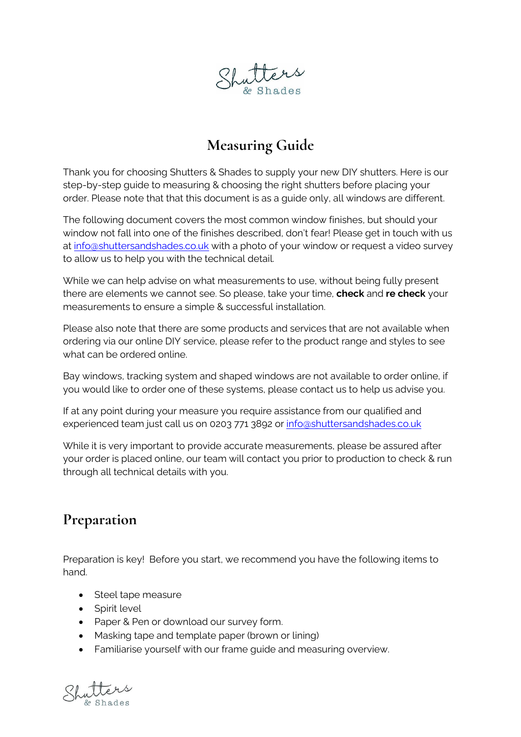

### **Measuring Guide**

Thank you for choosing Shutters & Shades to supply your new DIY shutters. Here is our step-by-step guide to measuring & choosing the right shutters before placing your order. Please note that that this document is as a guide only, all windows are different.

The following document covers the most common window finishes, but should your window not fall into one of the finishes described, don't fear! Please get in touch with us at [info@shuttersandshades.co.uk](mailto:info@shuttersandshades.co.uk) with a photo of your window or request a video survey to allow us to help you with the technical detail.

While we can help advise on what measurements to use, without being fully present there are elements we cannot see. So please, take your time, **check** and **re check** your measurements to ensure a simple & successful installation.

Please also note that there are some products and services that are not available when ordering via our online DIY service, please refer to the product range and styles to see what can be ordered online.

Bay windows, tracking system and shaped windows are not available to order online, if you would like to order one of these systems, please contact us to help us advise you.

If at any point during your measure you require assistance from our qualified and experienced team just call us on 0203 771 3892 or [info@shuttersandshades.co.uk](mailto:info@shuttersandshades.co.uk)

While it is very important to provide accurate measurements, please be assured after your order is placed online, our team will contact you prior to production to check & run through all technical details with you.

#### **Preparation**

Preparation is key! Before you start, we recommend you have the following items to hand.

- Steel tape measure
- Spirit level
- Paper & Pen or download our survey form.
- Masking tape and template paper (brown or lining)
- Familiarise yourself with our frame guide and measuring overview.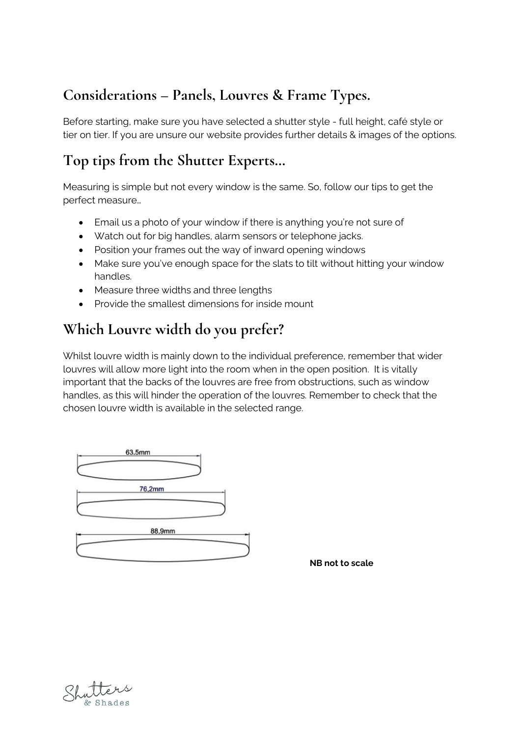## **Considerations – Panels, Louvres & Frame Types.**

Before starting, make sure you have selected a shutter style - full height, café style or tier on tier. If you are unsure our website provides further details & images of the options.

# **Top tips from the Shutter Experts…**

Measuring is simple but not every window is the same. So, follow our tips to get the perfect measure…

- Email us a photo of your window if there is anything you're not sure of
- Watch out for big handles, alarm sensors or telephone jacks.
- Position your frames out the way of inward opening windows
- Make sure you've enough space for the slats to tilt without hitting your window handles.
- Measure three widths and three lengths
- Provide the smallest dimensions for inside mount

## **Which Louvre width do you prefer?**

Whilst louvre width is mainly down to the individual preference, remember that wider louvres will allow more light into the room when in the open position. It is vitally important that the backs of the louvres are free from obstructions, such as window handles, as this will hinder the operation of the louvres. Remember to check that the chosen louvre width is available in the selected range.



**NB not to scale**

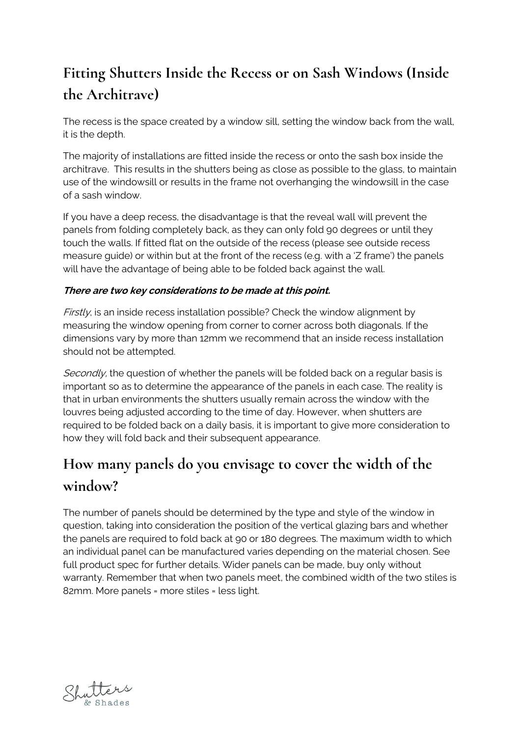# **Fitting Shutters Inside the Recess or on Sash Windows (Inside the Architrave)**

The recess is the space created by a window sill, setting the window back from the wall, it is the depth.

The majority of installations are fitted inside the recess or onto the sash box inside the architrave. This results in the shutters being as close as possible to the glass, to maintain use of the windowsill or results in the frame not overhanging the windowsill in the case of a sash window.

If you have a deep recess, the disadvantage is that the reveal wall will prevent the panels from folding completely back, as they can only fold 90 degrees or until they touch the walls. If fitted flat on the outside of the recess (please see outside recess measure guide) or within but at the front of the recess (e.g. with a 'Z frame') the panels will have the advantage of being able to be folded back against the wall.

#### **There are two key considerations to be made at this point.**

 $Firstly$ , is an inside recess installation possible? Check the window alignment by measuring the window opening from corner to corner across both diagonals. If the dimensions vary by more than 12mm we recommend that an inside recess installation should not be attempted.

Secondly, the question of whether the panels will be folded back on a regular basis is important so as to determine the appearance of the panels in each case. The reality is that in urban environments the shutters usually remain across the window with the louvres being adjusted according to the time of day. However, when shutters are required to be folded back on a daily basis, it is important to give more consideration to how they will fold back and their subsequent appearance.

# **How many panels do you envisage to cover the width of the window?**

The number of panels should be determined by the type and style of the window in question, taking into consideration the position of the vertical glazing bars and whether the panels are required to fold back at 90 or 180 degrees. The maximum width to which an individual panel can be manufactured varies depending on the material chosen. See full product spec for further details. Wider panels can be made, buy only without warranty. Remember that when two panels meet, the combined width of the two stiles is 82mm. More panels = more stiles = less light.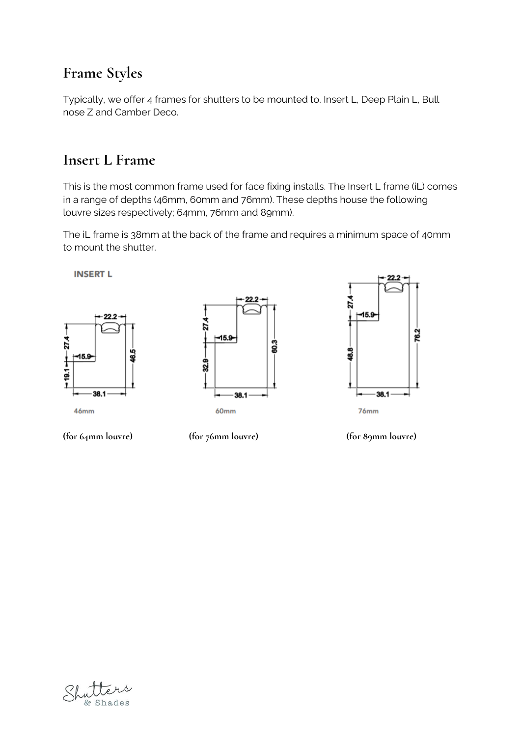#### **Frame Styles**

Typically, we offer 4 frames for shutters to be mounted to. Insert L, Deep Plain L, Bull nose Z and Camber Deco.

#### **Insert L Frame**

This is the most common frame used for face fixing installs. The Insert L frame (iL) comes in a range of depths (46mm, 60mm and 76mm). These depths house the following louvre sizes respectively; 64mm, 76mm and 89mm).

The iL frame is 38mm at the back of the frame and requires a minimum space of 40mm to mount the shutter.

**INSERT L** 







**(for 64mm louvre) (for 76mm louvre) (for 89mm louvre)**

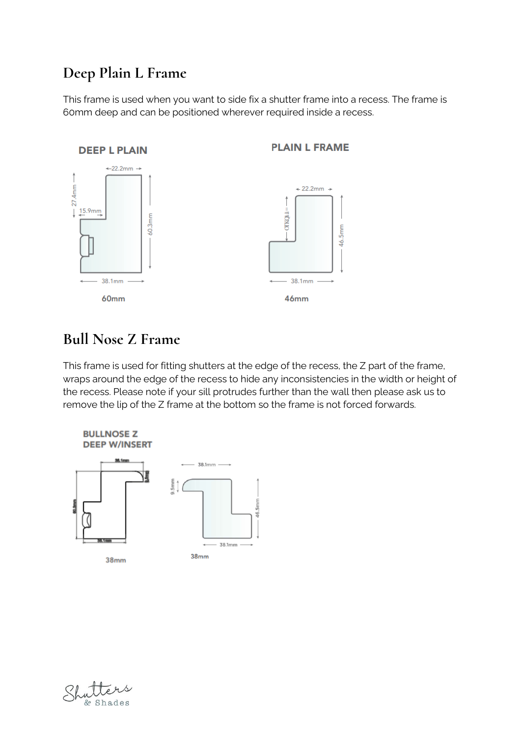# **Deep Plain L Frame**

This frame is used when you want to side fix a shutter frame into a recess. The frame is 60mm deep and can be positioned wherever required inside a recess.



#### **Bull Nose Z Frame**

This frame is used for fitting shutters at the edge of the recess, the Z part of the frame, wraps around the edge of the recess to hide any inconsistencies in the width or height of the recess. Please note if your sill protrudes further than the wall then please ask us to remove the lip of the Z frame at the bottom so the frame is not forced forwards.



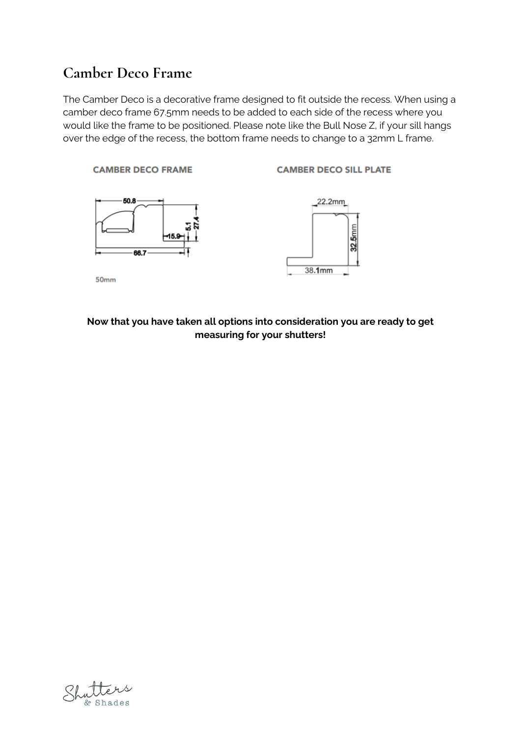#### **Camber Deco Frame**

The Camber Deco is a decorative frame designed to fit outside the recess. When using a camber deco frame 67.5mm needs to be added to each side of the recess where you would like the frame to be positioned. Please note like the Bull Nose Z, if your sill hangs over the edge of the recess, the bottom frame needs to change to a 32mm L frame.



#### **Now that you have taken all options into consideration you are ready to get measuring for your shutters!**

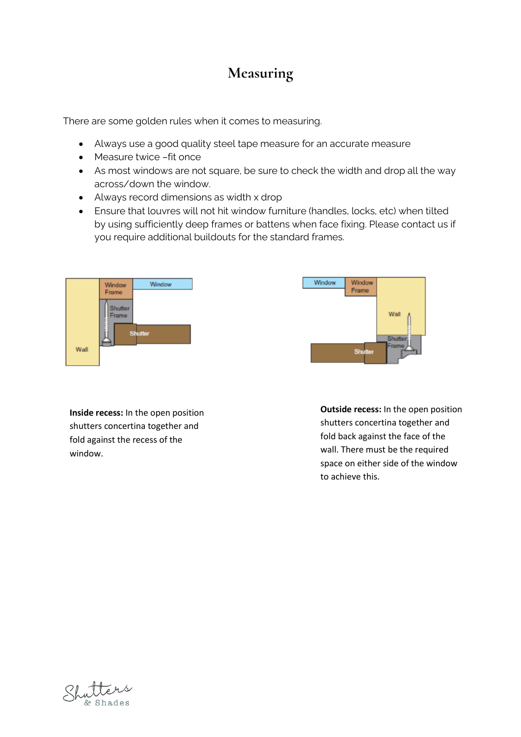### **Measuring**

There are some golden rules when it comes to measuring.

- Always use a good quality steel tape measure for an accurate measure
- Measure twice –fit once
- As most windows are not square, be sure to check the width and drop all the way across/down the window.
- Always record dimensions as width x drop
- Ensure that louvres will not hit window furniture (handles, locks, etc) when tilted by using sufficiently deep frames or battens when face fixing. Please contact us if you require additional buildouts for the standard frames.





**Inside recess:** In the open position shutters concertina together and fold against the recess of the window.

**Outside recess:** In the open position shutters concertina together and fold back against the face of the wall. There must be the required space on either side of the window to achieve this.

Shades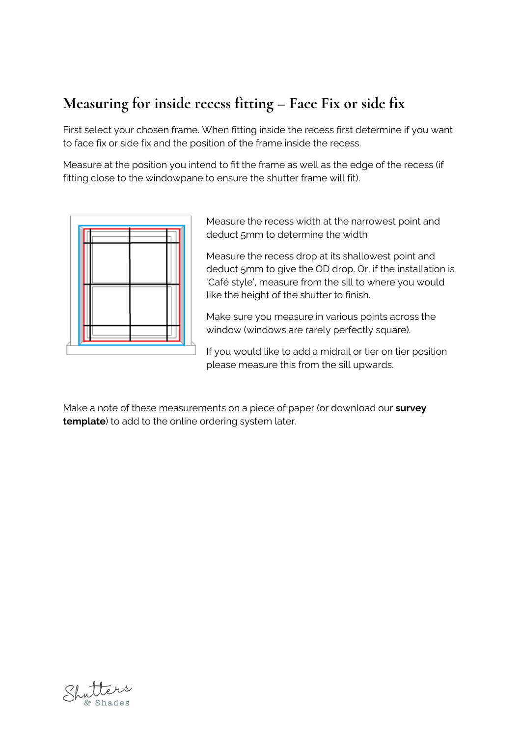# **Measuring for inside recess fitting – Face Fix or side fix**

First select your chosen frame. When fitting inside the recess first determine if you want to face fix or side fix and the position of the frame inside the recess.

Measure at the position you intend to fit the frame as well as the edge of the recess (if fitting close to the windowpane to ensure the shutter frame will fit).



Measure the recess width at the narrowest point and deduct 5mm to determine the width

Measure the recess drop at its shallowest point and deduct 5mm to give the OD drop. Or, if the installation is 'Café style', measure from the sill to where you would like the height of the shutter to finish.

Make sure you measure in various points across the window (windows are rarely perfectly square).

If you would like to add a midrail or tier on tier position please measure this from the sill upwards.

Make a note of these measurements on a piece of paper (or download our **survey template**) to add to the online ordering system later.

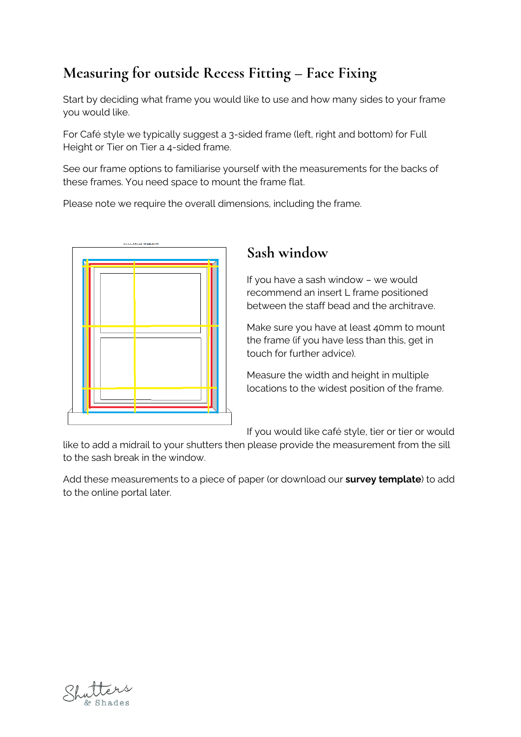# **Measuring for outside Recess Fitting – Face Fixing**

Start by deciding what frame you would like to use and how many sides to your frame you would like.

For Café style we typically suggest a 3-sided frame (left, right and bottom) for Full Height or Tier on Tier a 4-sided frame.

See our frame options to familiarise yourself with the measurements for the backs of these frames. You need space to mount the frame flat.

Please note we require the overall dimensions, including the frame.



## **Sash window**

If you have a sash window – we would recommend an insert L frame positioned between the staff bead and the architrave.

Make sure you have at least 40mm to mount the frame (if you have less than this, get in touch for further advice).

Measure the width and height in multiple locations to the widest position of the frame.

If you would like café style, tier or tier or would

like to add a midrail to your shutters then please provide the measurement from the sill to the sash break in the window.

Add these measurements to a piece of paper (or download our **survey template**) to add to the online portal later.